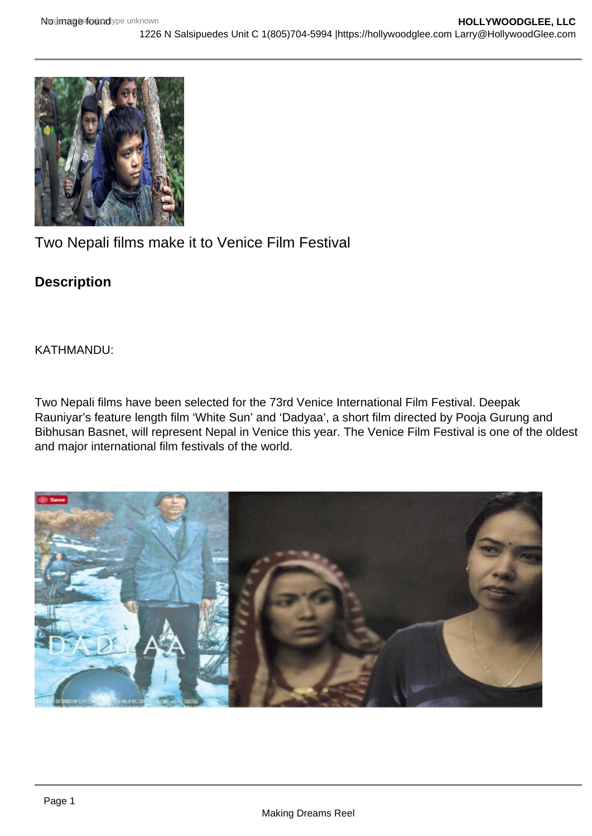

Two Nepali films make it to Venice Film Festival

## **Description**

KATHMANDU:

Two Nepali films have been selected for the 73rd Venice International Film Festival. Deepak Rauniyar's feature length film 'White Sun' and 'Dadyaa', a short film directed by Pooja Gurung and Bibhusan Basnet, will represent Nepal in Venice this year. The Venice Film Festival is one of the oldest and major international film festivals of the world.

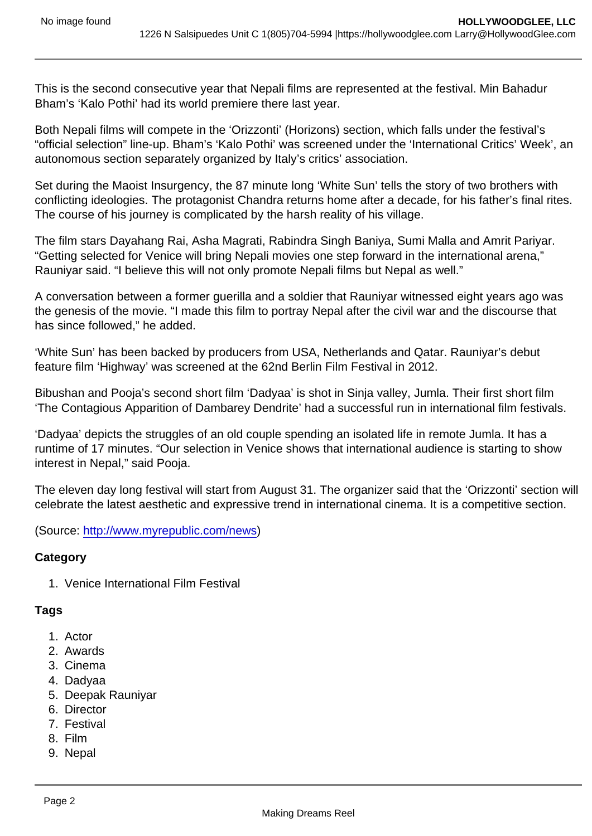This is the second consecutive year that Nepali films are represented at the festival. Min Bahadur Bham's 'Kalo Pothi' had its world premiere there last year.

Both Nepali films will compete in the 'Orizzonti' (Horizons) section, which falls under the festival's "official selection" line-up. Bham's 'Kalo Pothi' was screened under the 'International Critics' Week', an autonomous section separately organized by Italy's critics' association.

Set during the Maoist Insurgency, the 87 minute long 'White Sun' tells the story of two brothers with conflicting ideologies. The protagonist Chandra returns home after a decade, for his father's final rites. The course of his journey is complicated by the harsh reality of his village.

The film stars Dayahang Rai, Asha Magrati, Rabindra Singh Baniya, Sumi Malla and Amrit Pariyar. "Getting selected for Venice will bring Nepali movies one step forward in the international arena," Rauniyar said. "I believe this will not only promote Nepali films but Nepal as well."

A conversation between a former guerilla and a soldier that Rauniyar witnessed eight years ago was the genesis of the movie. "I made this film to portray Nepal after the civil war and the discourse that has since followed," he added.

'White Sun' has been backed by producers from USA, Netherlands and Qatar. Rauniyar's debut feature film 'Highway' was screened at the 62nd Berlin Film Festival in 2012.

Bibushan and Pooja's second short film 'Dadyaa' is shot in Sinja valley, Jumla. Their first short film 'The Contagious Apparition of Dambarey Dendrite' had a successful run in international film festivals.

'Dadyaa' depicts the struggles of an old couple spending an isolated life in remote Jumla. It has a runtime of 17 minutes. "Our selection in Venice shows that international audience is starting to show interest in Nepal," said Pooja.

The eleven day long festival will start from August 31. The organizer said that the 'Orizzonti' section will celebrate the latest aesthetic and expressive trend in international cinema. It is a competitive section.

(Source: <http://www.myrepublic.com/news>)

**Category** 

1. Venice International Film Festival

**Tags** 

- 1. Actor
- 2. Awards
- 3. Cinema
- 4. Dadyaa
- 5. Deepak Rauniyar
- 6. Director
- 7. Festival
- 8. Film
- 9. Nepal